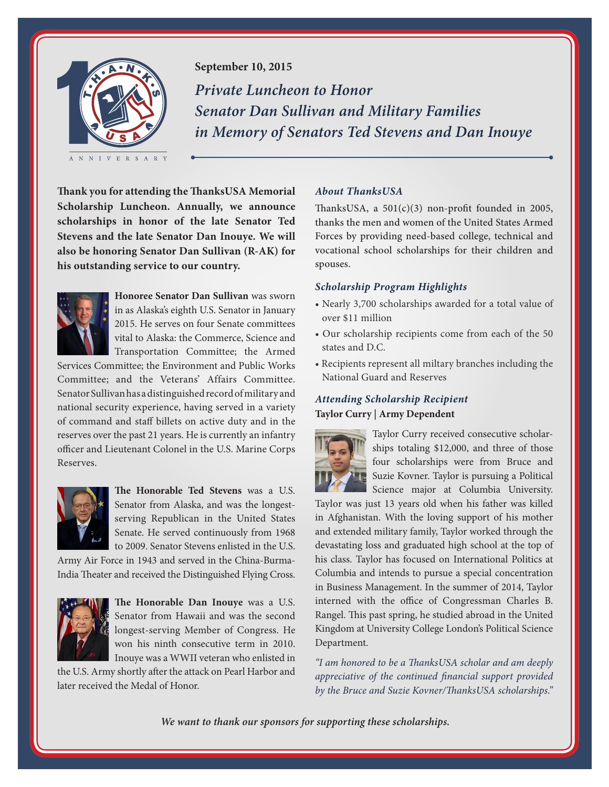

# **September 10, 2015**

*Private Luncheon to Honor Senator Dan Sullivan and Military Families in Memory of Senators Ted Stevens and Dan Inouye*

**Thank you for attending the ThanksUSA Memorial Scholarship Luncheon. Annually, we announce scholarships in honor of the late Senator Ted Stevens and the late Senator Dan Inouye. We will also be honoring Senator Dan Sullivan (R-AK) for his outstanding service to our country.**



**Honoree Senator Dan Sullivan** was sworn in as Alaska's eighth U.S. Senator in January 2015. He serves on four Senate committees vital to Alaska: the Commerce, Science and Transportation Committee; the Armed

Services Committee; the Environment and Public Works Committee; and the Veterans' Affairs Committee. Senator Sullivan has a distinguished record of military and national security experience, having served in a variety of command and staff billets on active duty and in the reserves over the past 21 years. He is currently an infantry officer and Lieutenant Colonel in the U.S. Marine Corps Reserves.



**The Honorable Ted Stevens** was a U.S. Senator from Alaska, and was the longestserving Republican in the United States Senate. He served continuously from 1968 to 2009. Senator Stevens enlisted in the U.S.

Army Air Force in 1943 and served in the China-Burma-India Theater and received the Distinguished Flying Cross.



**The Honorable Dan Inouye** was a U.S. Senator from Hawaii and was the second longest-serving Member of Congress. He won his ninth consecutive term in 2010. Inouye was a WWII veteran who enlisted in

the U.S. Army shortly after the attack on Pearl Harbor and later received the Medal of Honor.

### *About ThanksUSA*

ThanksUSA, a  $501(c)(3)$  non-profit founded in 2005, thanks the men and women of the United States Armed Forces by providing need-based college, technical and vocational school scholarships for their children and spouses.

## *Scholarship Program Highlights*

- Nearly 3,700 scholarships awarded for a total value of over \$11 million
- Our scholarship recipients come from each of the 50 states and D.C.
- Recipients represent all miltary branches including the National Guard and Reserves

# *Attending Scholarship Recipient* **Taylor Curry | Army Dependent**



Taylor Curry received consecutive scholarships totaling \$12,000, and three of those four scholarships were from Bruce and Suzie Kovner. Taylor is pursuing a Political Science major at Columbia University.

Taylor was just 13 years old when his father was killed in Afghanistan. With the loving support of his mother and extended military family, Taylor worked through the devastating loss and graduated high school at the top of his class. Taylor has focused on International Politics at Columbia and intends to pursue a special concentration in Business Management. In the summer of 2014, Taylor interned with the office of Congressman Charles B. Rangel. This past spring, he studied abroad in the United Kingdom at University College London's Political Science Department.

*"I am honored to be a ThanksUSA scholar and am deeply appreciative of the continued financial support provided by the Bruce and Suzie Kovner/ThanksUSA scholarships."*

*We want to thank our sponsors for supporting these scholarships.*